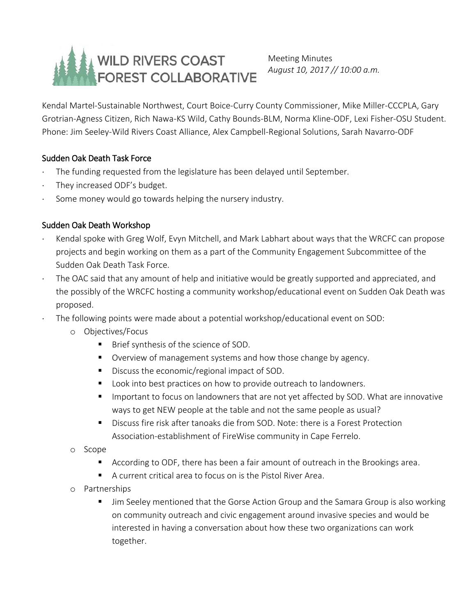# WILD RIVERS COAST FOREST COLLABORATIVE

Meeting Minutes *August 10, 2017 // 10:00 a.m.*

Kendal Martel-Sustainable Northwest, Court Boice-Curry County Commissioner, Mike Miller-CCCPLA, Gary Grotrian-Agness Citizen, Rich Nawa-KS Wild, Cathy Bounds-BLM, Norma Kline-ODF, Lexi Fisher-OSU Student. Phone: Jim Seeley-Wild Rivers Coast Alliance, Alex Campbell-Regional Solutions, Sarah Navarro-ODF

## Sudden Oak Death Task Force

- The funding requested from the legislature has been delayed until September.
- They increased ODF's budget.
- Some money would go towards helping the nursery industry.

## Sudden Oak Death Workshop

- Kendal spoke with Greg Wolf, Evyn Mitchell, and Mark Labhart about ways that the WRCFC can propose projects and begin working on them as a part of the Community Engagement Subcommittee of the Sudden Oak Death Task Force.
- The OAC said that any amount of help and initiative would be greatly supported and appreciated, and the possibly of the WRCFC hosting a community workshop/educational event on Sudden Oak Death was proposed.
- The following points were made about a potential workshop/educational event on SOD:
	- o Objectives/Focus
		- **Brief synthesis of the science of SOD.**
		- Overview of management systems and how those change by agency.
		- Discuss the economic/regional impact of SOD.
		- Look into best practices on how to provide outreach to landowners.
		- **IMPORTANTY IMM** Important to focus on landowners that are not yet affected by SOD. What are innovative ways to get NEW people at the table and not the same people as usual?
		- Discuss fire risk after tanoaks die from SOD. Note: there is a Forest Protection Association-establishment of FireWise community in Cape Ferrelo.
	- o Scope
		- According to ODF, there has been a fair amount of outreach in the Brookings area.
		- A current critical area to focus on is the Pistol River Area.
	- o Partnerships
		- Jim Seeley mentioned that the Gorse Action Group and the Samara Group is also working on community outreach and civic engagement around invasive species and would be interested in having a conversation about how these two organizations can work together.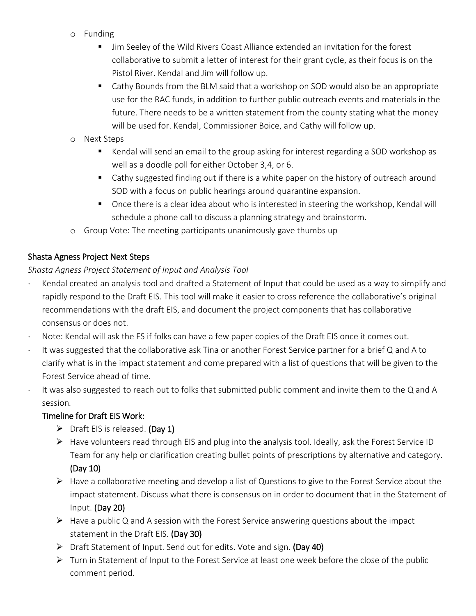- o Funding
	- **IFM** Jim Seeley of the Wild Rivers Coast Alliance extended an invitation for the forest collaborative to submit a letter of interest for their grant cycle, as their focus is on the Pistol River. Kendal and Jim will follow up.
	- Cathy Bounds from the BLM said that a workshop on SOD would also be an appropriate use for the RAC funds, in addition to further public outreach events and materials in the future. There needs to be a written statement from the county stating what the money will be used for. Kendal, Commissioner Boice, and Cathy will follow up.
- o Next Steps
	- **EXECT** Kendal will send an email to the group asking for interest regarding a SOD workshop as well as a doodle poll for either October 3,4, or 6.
	- Cathy suggested finding out if there is a white paper on the history of outreach around SOD with a focus on public hearings around quarantine expansion.
	- **Once there is a clear idea about who is interested in steering the workshop, Kendal will** schedule a phone call to discuss a planning strategy and brainstorm.
- o Group Vote: The meeting participants unanimously gave thumbs up

## Shasta Agness Project Next Steps

*Shasta Agness Project Statement of Input and Analysis Tool*

- Kendal created an analysis tool and drafted a Statement of Input that could be used as a way to simplify and rapidly respond to the Draft EIS. This tool will make it easier to cross reference the collaborative's original recommendations with the draft EIS, and document the project components that has collaborative consensus or does not.
- Note: Kendal will ask the FS if folks can have a few paper copies of the Draft EIS once it comes out.
- It was suggested that the collaborative ask Tina or another Forest Service partner for a brief Q and A to clarify what is in the impact statement and come prepared with a list of questions that will be given to the Forest Service ahead of time.
- $\cdot$  It was also suggested to reach out to folks that submitted public comment and invite them to the Q and A session*.*

## Timeline for Draft EIS Work:

- $\triangleright$  Draft EIS is released. (Day 1)
- $\triangleright$  Have volunteers read through EIS and plug into the analysis tool. Ideally, ask the Forest Service ID Team for any help or clarification creating bullet points of prescriptions by alternative and category. (Day 10)
- $\triangleright$  Have a collaborative meeting and develop a list of Questions to give to the Forest Service about the impact statement. Discuss what there is consensus on in order to document that in the Statement of Input. (Day 20)
- $\triangleright$  Have a public Q and A session with the Forest Service answering questions about the impact statement in the Draft EIS. (Day 30)
- > Draft Statement of Input. Send out for edits. Vote and sign. (Day 40)
- $\triangleright$  Turn in Statement of Input to the Forest Service at least one week before the close of the public comment period.